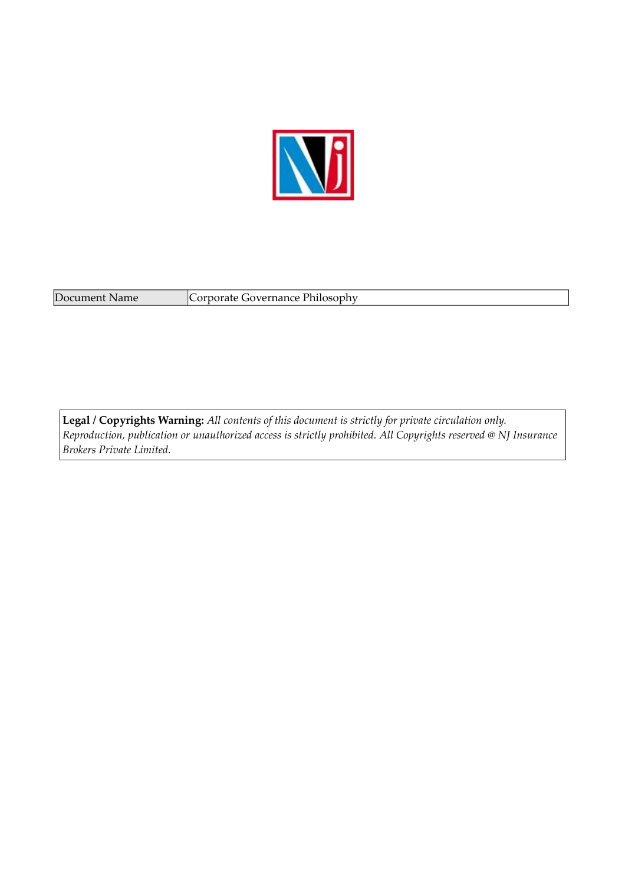

Document Name Corporate Governance Philosophy

**Legal / Copyrights Warning:** *All contents of this document is strictly for private circulation only. Reproduction, publication or unauthorized access is strictly prohibited. All Copyrights reserved @ NJ Insurance Brokers Private Limited.*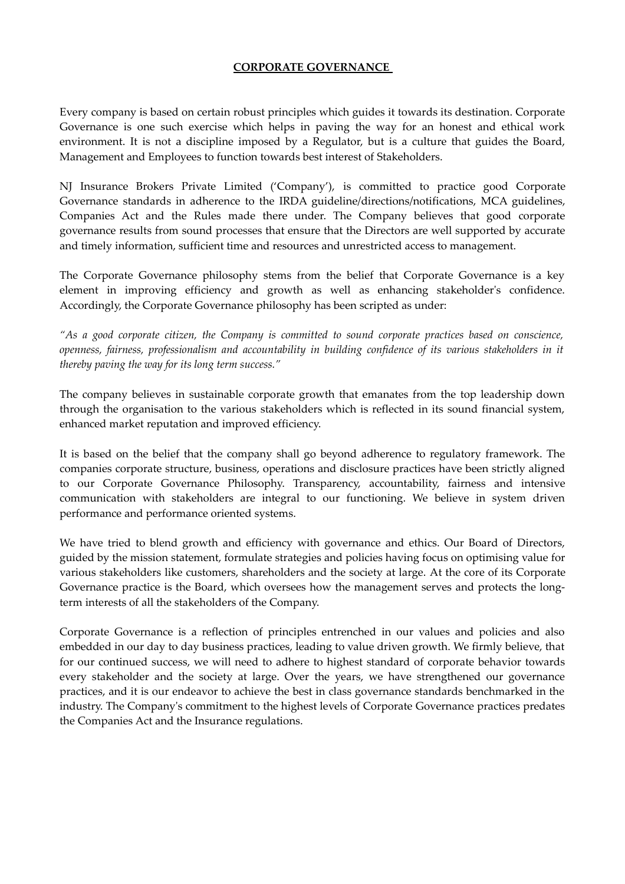## **CORPORATE GOVERNANCE**

Every company is based on certain robust principles which guides it towards its destination. Corporate Governance is one such exercise which helps in paving the way for an honest and ethical work environment. It is not a discipline imposed by a Regulator, but is a culture that guides the Board, Management and Employees to function towards best interest of Stakeholders.

NJ Insurance Brokers Private Limited ('Company'), is committed to practice good Corporate Governance standards in adherence to the IRDA guideline/directions/notifications, MCA guidelines, Companies Act and the Rules made there under. The Company believes that good corporate governance results from sound processes that ensure that the Directors are well supported by accurate and timely information, sufficient time and resources and unrestricted access to management.

The Corporate Governance philosophy stems from the belief that Corporate Governance is a key element in improving efficiency and growth as well as enhancing stakeholder's confidence. Accordingly, the Corporate Governance philosophy has been scripted as under:

*"As a good corporate citizen, the Company is committed to sound corporate practices based on conscience, openness, fairness, professionalism and accountability in building confidence of its various stakeholders in it thereby paving the way for its long term success."*

The company believes in sustainable corporate growth that emanates from the top leadership down through the organisation to the various stakeholders which is reflected in its sound financial system, enhanced market reputation and improved efficiency.

It is based on the belief that the company shall go beyond adherence to regulatory framework. The companies corporate structure, business, operations and disclosure practices have been strictly aligned to our Corporate Governance Philosophy. Transparency, accountability, fairness and intensive communication with stakeholders are integral to our functioning. We believe in system driven performance and performance oriented systems.

We have tried to blend growth and efficiency with governance and ethics. Our Board of Directors, guided by the mission statement, formulate strategies and policies having focus on optimising value for various stakeholders like customers, shareholders and the society at large. At the core of its Corporate Governance practice is the Board, which oversees how the management serves and protects the longterm interests of all the stakeholders of the Company.

Corporate Governance is a reflection of principles entrenched in our values and policies and also embedded in our day to day business practices, leading to value driven growth. We firmly believe, that for our continued success, we will need to adhere to highest standard of corporate behavior towards every stakeholder and the society at large. Over the years, we have strengthened our governance practices, and it is our endeavor to achieve the best in class governance standards benchmarked in the industry. The Company's commitment to the highest levels of Corporate Governance practices predates the Companies Act and the Insurance regulations.